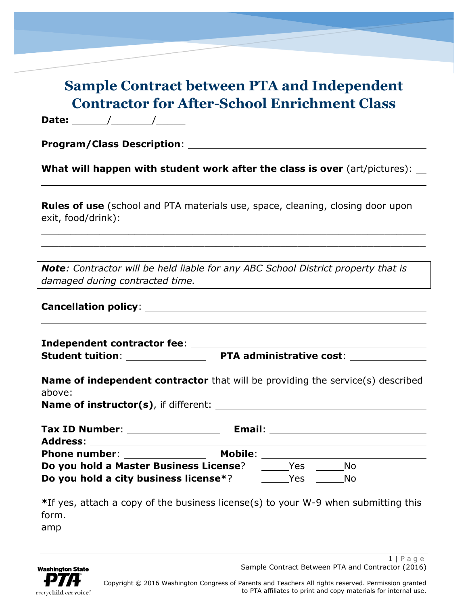## **Sample Contract between PTA and Independent Contractor for After-School Enrichment Class**

**Date:** \_\_\_\_\_\_/\_\_\_\_\_\_\_/\_\_\_\_\_

**Program/Class Description**:

**What will happen with student work after the class is over** (art/pictures):

**Rules of use** (school and PTA materials use, space, cleaning, closing door upon exit, food/drink):

 $\_$  , and the set of the set of the set of the set of the set of the set of the set of the set of the set of the set of the set of the set of the set of the set of the set of the set of the set of the set of the set of th \_\_\_\_\_\_\_\_\_\_\_\_\_\_\_\_\_\_\_\_\_\_\_\_\_\_\_\_\_\_\_\_\_\_\_\_\_\_\_\_\_\_\_\_\_\_\_\_\_\_\_\_\_\_\_\_\_\_\_\_\_\_\_\_\_\_

*Note: Contractor will be held liable for any ABC School District property that is damaged during contracted time.*

|  |  | <b>Cancellation policy:</b> |
|--|--|-----------------------------|
|--|--|-----------------------------|

**Independent contractor fee**: **Student tuition**: **PTA administrative cost**:

| <b>Name of independent contractor</b> that will be providing the service(s) described |                        |     |                                  |  |  |  |
|---------------------------------------------------------------------------------------|------------------------|-----|----------------------------------|--|--|--|
|                                                                                       |                        |     |                                  |  |  |  |
| Tax ID Number: _________________                                                      |                        |     | Email: _________________________ |  |  |  |
| Phone number: _______________                                                         | Mobile: ______________ |     |                                  |  |  |  |
| Do you hold a Master Business License?                                                |                        | Yes | No                               |  |  |  |

**Do you hold a city business license**<sup>\*</sup>? The Mo

**\***If yes, attach a copy of the business license(s) to your W-9 when submitting this form.

amp

 $1 | P a q e$ Sample Contract Between PTA and Contractor (2016)